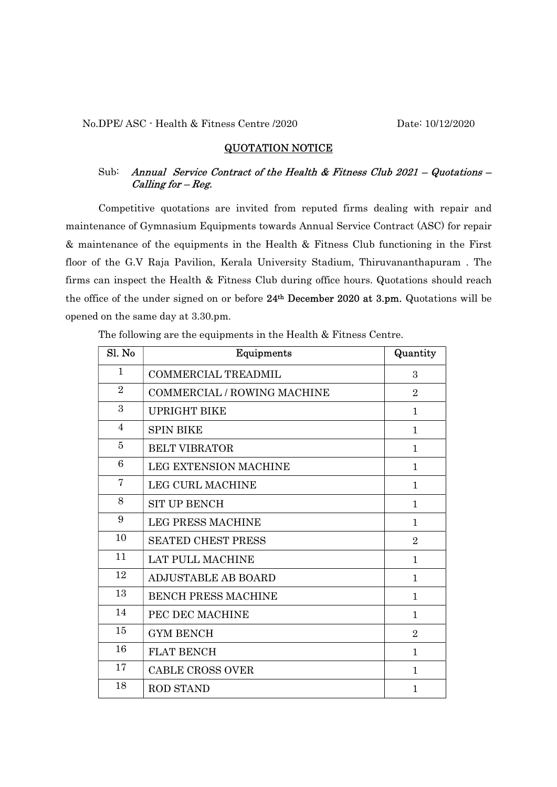## QUOTATION NOTICE

## Sub: Annual Service Contract of the Health & Fitness Club  $2021 - Quotations -$ Calling for – Reg.

Competitive quotations are invited from reputed firms dealing with repair and maintenance of Gymnasium Equipments towards Annual Service Contract (ASC) for repair & maintenance of the equipments in the Health & Fitness Club functioning in the First floor of the G.V Raja Pavilion, Kerala University Stadium, Thiruvananthapuram . The firms can inspect the Health & Fitness Club during office hours. Quotations should reach the office of the under signed on or before 24th December 2020 at 3.pm. Quotations will be opened on the same day at 3.30.pm.

The following are the equipments in the Health & Fitness Centre.

| Sl. No         | Equipments                         | Quantity       |
|----------------|------------------------------------|----------------|
| $\mathbf{1}$   | COMMERCIAL TREADMIL                | 3              |
| $\overline{2}$ | <b>COMMERCIAL / ROWING MACHINE</b> | $\overline{2}$ |
| 3              | <b>UPRIGHT BIKE</b>                | $\mathbf{1}$   |
| $\overline{4}$ | <b>SPIN BIKE</b>                   | $\mathbf{1}$   |
| 5              | <b>BELT VIBRATOR</b>               | $\mathbf{1}$   |
| 6              | <b>LEG EXTENSION MACHINE</b>       | 1              |
| 7              | <b>LEG CURL MACHINE</b>            | 1              |
| 8              | <b>SIT UP BENCH</b>                | $\mathbf{1}$   |
| 9              | <b>LEG PRESS MACHINE</b>           | $\mathbf{1}$   |
| 10             | <b>SEATED CHEST PRESS</b>          | $\overline{2}$ |
| 11             | <b>LAT PULL MACHINE</b>            | $\mathbf{1}$   |
| 12             | <b>ADJUSTABLE AB BOARD</b>         | $\mathbf{1}$   |
| 13             | <b>BENCH PRESS MACHINE</b>         | $\mathbf{1}$   |
| 14             | PEC DEC MACHINE                    | $\mathbf{1}$   |
| 15             | <b>GYM BENCH</b>                   | $\overline{2}$ |
| 16             | <b>FLAT BENCH</b>                  | 1              |
| 17             | <b>CABLE CROSS OVER</b>            | 1              |
| 18             | <b>ROD STAND</b>                   | 1              |